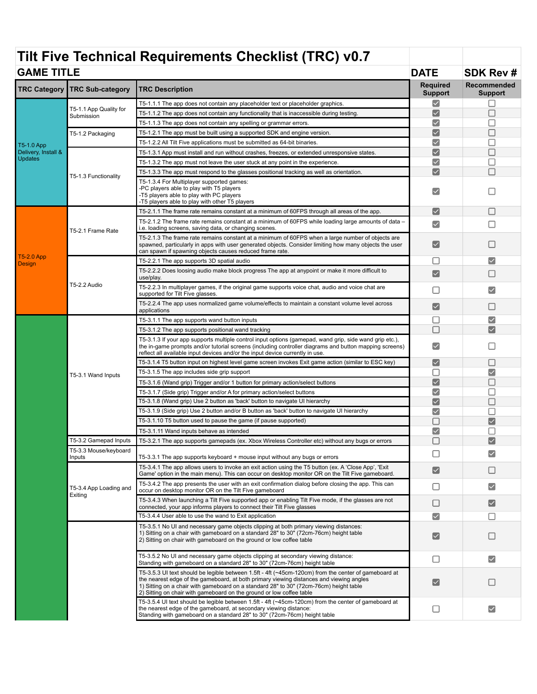## **Tilt Five Technical Requirements Checklist (TRC) v0.7 GAME TITLE DATE SDK Rev # TRC Category TRC Sub-category TRC Description Required Required Required Required Required Recommended Support Support** T5-1.1.1 The app does not contain any placeholder text or placeholder graphics.  $\blacktriangledown$  $\Box$ T5-1.1 App Quality for Submission  $\blacktriangledown$  $\Box$ T5-1.1.2 The app does not contain any functionality that is inaccessible during testing.  $\blacktriangledown$  $\Box$ T5-1.1.3 The app does not contain any spelling or grammar errors. T5-1.2 Packaging T5-1.2.1 The app must be built using a supported SDK and engine version.

|                                                     | T5-1.2 Packaging                  | T5-1.2.1 The app must be built using a supported SDK and engine version.                                                                                                                                                                                                                                                                                          | $\blacktriangledown$  |                      |
|-----------------------------------------------------|-----------------------------------|-------------------------------------------------------------------------------------------------------------------------------------------------------------------------------------------------------------------------------------------------------------------------------------------------------------------------------------------------------------------|-----------------------|----------------------|
| T5-1.0 App<br>Delivery, Install &<br><b>Updates</b> |                                   | T5-1.2.2 All Tilt Five applications must be submitted as 64-bit binaries.                                                                                                                                                                                                                                                                                         | $\blacktriangledown$  |                      |
|                                                     |                                   | T5-1.3.1 App must install and run without crashes, freezes, or extended unresponsive states.                                                                                                                                                                                                                                                                      | $\blacktriangledown$  |                      |
|                                                     |                                   | T5-1.3.2 The app must not leave the user stuck at any point in the experience.                                                                                                                                                                                                                                                                                    | $\blacktriangledown$  |                      |
|                                                     |                                   | T5-1.3.3 The app must respond to the glasses positional tracking as well as orientation.                                                                                                                                                                                                                                                                          | $\blacktriangledown$  |                      |
|                                                     | T5-1.3 Functionality              | T5-1.3.4 For Multiplayer supported games:<br>-PC players able to play with T5 players<br>-T5 players able to play with PC players<br>-T5 players able to play with other T5 players                                                                                                                                                                               | ✓                     |                      |
| T5-2.0 App<br>Design                                | T5-2.1 Frame Rate                 | T5-2.1.1 The frame rate remains constant at a minimum of 60FPS through all areas of the app.                                                                                                                                                                                                                                                                      | ✓                     |                      |
|                                                     |                                   | T5-2.1.2 The frame rate remains constant at a minimum of 60FPS while loading large amounts of data -<br>i.e. loading screens, saving data, or changing scenes.                                                                                                                                                                                                    | $\blacktriangledown$  |                      |
|                                                     |                                   | T5-2.1.3 The frame rate remains constant at a minimum of 60FPS when a large number of objects are<br>spawned, particularly in apps with user generated objects. Consider limiting how many objects the user<br>can spawn if spawning objects causes reduced frame rate.                                                                                           | $\blacktriangledown$  |                      |
|                                                     | T5-2.2 Audio                      | T5-2.2.1 The app supports 3D spatial audio                                                                                                                                                                                                                                                                                                                        | Ш                     | ✓                    |
|                                                     |                                   | T5-2.2.2 Does loosing audio make block progress The app at anypoint or make it more difficult to<br>use/play.                                                                                                                                                                                                                                                     | $\blacktriangledown$  |                      |
|                                                     |                                   | T5-2.2.3 In multiplayer games, if the original game supports voice chat, audio and voice chat are<br>supported for Tilt Five glasses.                                                                                                                                                                                                                             | П                     |                      |
|                                                     |                                   | T5-2.2.4 The app uses normalized game volume/effects to maintain a constant volume level across<br>applications                                                                                                                                                                                                                                                   | ✓                     |                      |
|                                                     |                                   | T5-3.1.1 The app supports wand button inputs                                                                                                                                                                                                                                                                                                                      | ш                     |                      |
|                                                     | T5-3.1 Wand Inputs                | T5-3.1.2 The app supports positional wand tracking                                                                                                                                                                                                                                                                                                                | П                     |                      |
|                                                     |                                   | T5-3.1.3 If your app supports multiple control input options (gamepad, wand grip, side wand grip etc.),<br>the in-game prompts and/or tutorial screens (including controller diagrams and button mapping screens)<br>reflect all available input devices and/or the input device currently in use.                                                                | $\checkmark$          |                      |
|                                                     |                                   | T5-3.1.4 T5 button input on highest level game screen invokes Exit game action (similar to ESC key)                                                                                                                                                                                                                                                               | $\blacktriangledown$  |                      |
|                                                     |                                   | T5-3.1.5 The app includes side grip support                                                                                                                                                                                                                                                                                                                       | П                     | ✓                    |
|                                                     |                                   | T5-3.1.6 (Wand grip) Trigger and/or 1 button for primary action/select buttons                                                                                                                                                                                                                                                                                    | $\blacktriangledown$  | □                    |
|                                                     |                                   | T5-3.1.7 (Side grip) Trigger and/or A for primary action/select buttons                                                                                                                                                                                                                                                                                           | $\blacktriangledown$  |                      |
|                                                     |                                   | T5-3.1.8 (Wand grip) Use 2 button as 'back' button to navigate UI hierarchy                                                                                                                                                                                                                                                                                       | $\blacktriangledown$  |                      |
|                                                     |                                   | T5-3.1.9 (Side grip) Use 2 button and/or B button as 'back' button to navigate UI hierarchy                                                                                                                                                                                                                                                                       | $\blacktriangledown$  |                      |
|                                                     |                                   | T5-3.1.10 T5 button used to pause the game (if pause supported)                                                                                                                                                                                                                                                                                                   | Г                     | $\checkmark$         |
|                                                     |                                   | T5-3.1.11 Wand inputs behave as intended                                                                                                                                                                                                                                                                                                                          | $\blacktriangledown$  |                      |
|                                                     | T5-3.2 Gamepad Inputs             | T5-3.2.1 The app supports gamepads (ex. Xbox Wireless Controller etc) without any bugs or errors                                                                                                                                                                                                                                                                  | п                     |                      |
|                                                     | T5-3.3 Mouse/keyboard<br>Inputs   | T5-3.3.1 The app supports keyboard + mouse input without any bugs or errors                                                                                                                                                                                                                                                                                       | H                     |                      |
|                                                     | T5-3.4 App Loading and<br>Exiting | T5-3.4.1 The app allows users to invoke an exit action using the T5 button (ex. A 'Close App', 'Exit<br>Game' option in the main menu). This can occur on desktop monitor OR on the Tilt Five gameboard.                                                                                                                                                          | $\blacktriangledown$  |                      |
|                                                     |                                   | T5-3.4.2 The app presents the user with an exit confirmation dialog before closing the app. This can<br>occur on desktop monitor OR on the Tilt Five gameboard                                                                                                                                                                                                    |                       |                      |
|                                                     |                                   | T5-3.4.3 When launching a Tilt Five supported app or enabling Tilt Five mode, if the glasses are not<br>connected, your app informs players to connect their Tilt Five glasses                                                                                                                                                                                    | L                     |                      |
|                                                     |                                   | T5-3.4.4 User able to use the wand to Exit application                                                                                                                                                                                                                                                                                                            | ✓                     |                      |
|                                                     |                                   | T5-3.5.1 No UI and necessary game objects clipping at both primary viewing distances:<br>1) Sitting on a chair with gameboard on a standard 28" to 30" (72cm-76cm) height table<br>2) Sitting on chair with gameboard on the ground or low coffee table                                                                                                           | $\blacktriangledown$  |                      |
|                                                     |                                   | T5-3.5.2 No UI and necessary game objects clipping at secondary viewing distance:<br>Standing with gameboard on a standard 28" to 30" (72cm-76cm) height table                                                                                                                                                                                                    | □                     | $\blacktriangledown$ |
|                                                     |                                   | T5-3.5.3 UI text should be legible between 1.5ft - 4ft (~45cm-120cm) from the center of gameboard at<br>the nearest edge of the gameboard, at both primary viewing distances and viewing angles<br>1) Sitting on a chair with gameboard on a standard 28" to 30" (72cm-76cm) height table<br>2) Sitting on chair with gameboard on the ground or low coffee table | $\blacktriangleright$ |                      |
|                                                     |                                   | T5-3.5.4 UI text should be legible between 1.5ft - 4ft (~45cm-120cm) from the center of gameboard at<br>the nearest edge of the gameboard, at secondary viewing distance:<br>Standing with gameboard on a standard 28" to 30" (72cm-76cm) height table                                                                                                            | $\Box$                | $\checkmark$         |